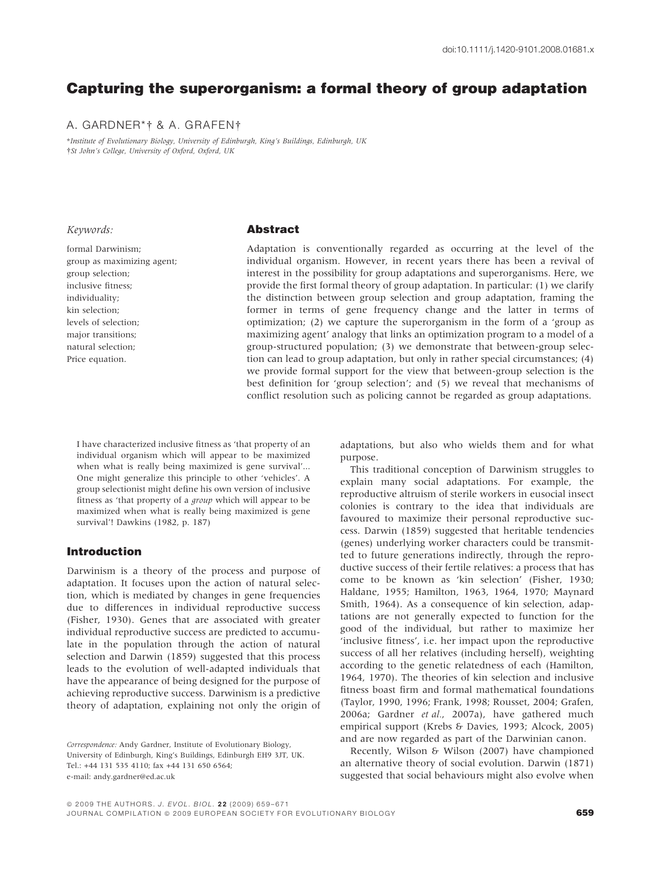# Capturing the superorganism: a formal theory of group adaptation

# A. GARDNER\*† & A. GRAFEN†

\*Institute of Evolutionary Biology, University of Edinburgh, King's Buildings, Edinburgh, UK -St John's College, University of Oxford, Oxford, UK

### Keywords:

formal Darwinism; group as maximizing agent; group selection; inclusive fitness; individuality; kin selection; levels of selection; major transitions; natural selection; Price equation.

### Abstract

Adaptation is conventionally regarded as occurring at the level of the individual organism. However, in recent years there has been a revival of interest in the possibility for group adaptations and superorganisms. Here, we provide the first formal theory of group adaptation. In particular: (1) we clarify the distinction between group selection and group adaptation, framing the former in terms of gene frequency change and the latter in terms of optimization; (2) we capture the superorganism in the form of a 'group as maximizing agent' analogy that links an optimization program to a model of a group-structured population; (3) we demonstrate that between-group selection can lead to group adaptation, but only in rather special circumstances; (4) we provide formal support for the view that between-group selection is the best definition for 'group selection'; and (5) we reveal that mechanisms of conflict resolution such as policing cannot be regarded as group adaptations.

I have characterized inclusive fitness as 'that property of an individual organism which will appear to be maximized when what is really being maximized is gene survival'... One might generalize this principle to other 'vehicles'. A group selectionist might define his own version of inclusive fitness as 'that property of a group which will appear to be maximized when what is really being maximized is gene survival'! Dawkins (1982, p. 187)

# Introduction

Darwinism is a theory of the process and purpose of adaptation. It focuses upon the action of natural selection, which is mediated by changes in gene frequencies due to differences in individual reproductive success (Fisher, 1930). Genes that are associated with greater individual reproductive success are predicted to accumulate in the population through the action of natural selection and Darwin (1859) suggested that this process leads to the evolution of well-adapted individuals that have the appearance of being designed for the purpose of achieving reproductive success. Darwinism is a predictive theory of adaptation, explaining not only the origin of adaptations, but also who wields them and for what purpose.

This traditional conception of Darwinism struggles to explain many social adaptations. For example, the reproductive altruism of sterile workers in eusocial insect colonies is contrary to the idea that individuals are favoured to maximize their personal reproductive success. Darwin (1859) suggested that heritable tendencies (genes) underlying worker characters could be transmitted to future generations indirectly, through the reproductive success of their fertile relatives: a process that has come to be known as 'kin selection' (Fisher, 1930; Haldane, 1955; Hamilton, 1963, 1964, 1970; Maynard Smith, 1964). As a consequence of kin selection, adaptations are not generally expected to function for the good of the individual, but rather to maximize her 'inclusive fitness', i.e. her impact upon the reproductive success of all her relatives (including herself), weighting according to the genetic relatedness of each (Hamilton, 1964, 1970). The theories of kin selection and inclusive fitness boast firm and formal mathematical foundations (Taylor, 1990, 1996; Frank, 1998; Rousset, 2004; Grafen, 2006a; Gardner et al., 2007a), have gathered much empirical support (Krebs & Davies, 1993; Alcock, 2005) and are now regarded as part of the Darwinian canon.

Recently, Wilson & Wilson (2007) have championed an alternative theory of social evolution. Darwin (1871) suggested that social behaviours might also evolve when

Correspondence: Andy Gardner, Institute of Evolutionary Biology, University of Edinburgh, King's Buildings, Edinburgh EH9 3JT, UK. Tel.: +44 131 535 4110; fax +44 131 650 6564; e-mail: andy.gardner@ed.ac.uk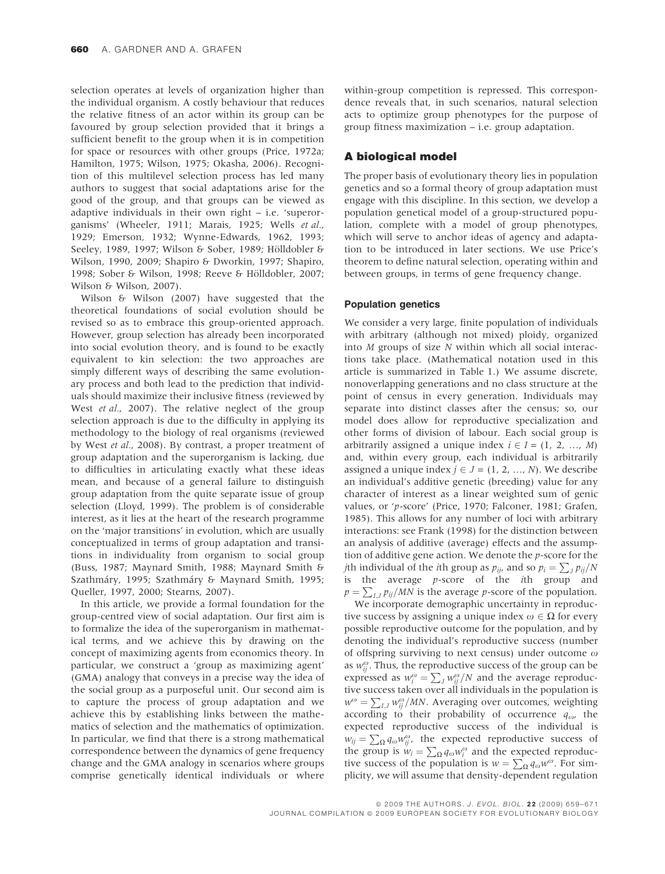selection operates at levels of organization higher than the individual organism. A costly behaviour that reduces the relative fitness of an actor within its group can be favoured by group selection provided that it brings a sufficient benefit to the group when it is in competition for space or resources with other groups (Price, 1972a; Hamilton, 1975; Wilson, 1975; Okasha, 2006). Recognition of this multilevel selection process has led many authors to suggest that social adaptations arise for the good of the group, and that groups can be viewed as adaptive individuals in their own right – i.e. 'superorganisms' (Wheeler, 1911; Marais, 1925; Wells et al., 1929; Emerson, 1932; Wynne-Edwards, 1962, 1993; Seeley, 1989, 1997; Wilson & Sober, 1989; Hölldobler & Wilson, 1990, 2009; Shapiro & Dworkin, 1997; Shapiro, 1998; Sober & Wilson, 1998; Reeve & Hölldobler, 2007; Wilson & Wilson, 2007).

Wilson & Wilson (2007) have suggested that the theoretical foundations of social evolution should be revised so as to embrace this group-oriented approach. However, group selection has already been incorporated into social evolution theory, and is found to be exactly equivalent to kin selection: the two approaches are simply different ways of describing the same evolutionary process and both lead to the prediction that individuals should maximize their inclusive fitness (reviewed by West et al., 2007). The relative neglect of the group selection approach is due to the difficulty in applying its methodology to the biology of real organisms (reviewed by West et al., 2008). By contrast, a proper treatment of group adaptation and the superorganism is lacking, due to difficulties in articulating exactly what these ideas mean, and because of a general failure to distinguish group adaptation from the quite separate issue of group selection (Lloyd, 1999). The problem is of considerable interest, as it lies at the heart of the research programme on the 'major transitions' in evolution, which are usually conceptualized in terms of group adaptation and transitions in individuality from organism to social group (Buss, 1987; Maynard Smith, 1988; Maynard Smith & Szathmáry, 1995; Szathmáry & Maynard Smith, 1995; Queller, 1997, 2000; Stearns, 2007).

In this article, we provide a formal foundation for the group-centred view of social adaptation. Our first aim is to formalize the idea of the superorganism in mathematical terms, and we achieve this by drawing on the concept of maximizing agents from economics theory. In particular, we construct a 'group as maximizing agent' (GMA) analogy that conveys in a precise way the idea of the social group as a purposeful unit. Our second aim is to capture the process of group adaptation and we achieve this by establishing links between the mathematics of selection and the mathematics of optimization. In particular, we find that there is a strong mathematical correspondence between the dynamics of gene frequency change and the GMA analogy in scenarios where groups comprise genetically identical individuals or where

within-group competition is repressed. This correspondence reveals that, in such scenarios, natural selection acts to optimize group phenotypes for the purpose of group fitness maximization – i.e. group adaptation.

# A biological model

The proper basis of evolutionary theory lies in population genetics and so a formal theory of group adaptation must engage with this discipline. In this section, we develop a population genetical model of a group-structured population, complete with a model of group phenotypes, which will serve to anchor ideas of agency and adaptation to be introduced in later sections. We use Price's theorem to define natural selection, operating within and between groups, in terms of gene frequency change.

#### Population genetics

We consider a very large, finite population of individuals with arbitrary (although not mixed) ploidy, organized into M groups of size N within which all social interactions take place. (Mathematical notation used in this article is summarized in Table 1.) We assume discrete, nonoverlapping generations and no class structure at the point of census in every generation. Individuals may separate into distinct classes after the census; so, our model does allow for reproductive specialization and other forms of division of labour. Each social group is arbitrarily assigned a unique index  $i \in I = (1, 2, ..., M)$ and, within every group, each individual is arbitrarily assigned a unique index  $j \in J = (1, 2, ..., N)$ . We describe an individual's additive genetic (breeding) value for any character of interest as a linear weighted sum of genic values, or 'p-score' (Price, 1970; Falconer, 1981; Grafen, 1985). This allows for any number of loci with arbitrary interactions: see Frank (1998) for the distinction between an analysis of additive (average) effects and the assumption of additive gene action. We denote the p-score for the jth individual of the *i*th group as  $p_{ij}$ , and so  $p_i = \sum_J p_{ij}/N$ is the average p-score of the ith group and  $p = \sum_{i,j} p_{ij}/MN$  is the average *p*-score of the population.

We incorporate demographic uncertainty in reproductive success by assigning a unique index  $\omega \in \Omega$  for every possible reproductive outcome for the population, and by denoting the individual's reproductive success (number of offspring surviving to next census) under outcome  $\omega$ as  $w_{ij}^{\omega}$ . Thus, the reproductive success of the group can be expressed as  $w_i^{\omega} = \sum_j w_{ij}^{\omega}/N$  and the average reproductive success taken over all individuals in the population is  $w^{\omega} = \sum_{I,J} w_{ij}^{\omega}/MN$ . Averaging over outcomes, weighting according to their probability of occurrence  $q_{\omega}$ , the expected reproductive success of the individual is  $w_{ij} = \sum_{\Omega} q_{\omega} w_{ij}^{\omega}$ , the expected reproductive success of the group is  $w_i = \sum_{\Omega} q_{\omega} w_i^{\omega}$  and the expected reproductive success of the population is  $w = \sum_{\Omega} q_{\omega} w^{\omega}$ . For simplicity, we will assume that density-dependent regulation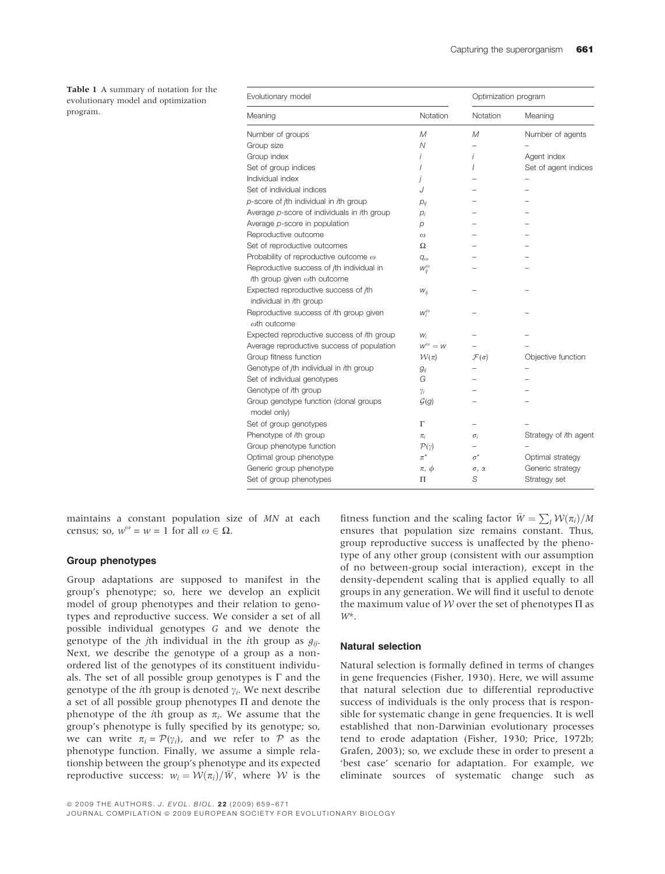Table 1 A summary of notation for the evolutionary model and optimization program.

| Evolutionary model                                                                      |                       | Optimization program  |                             |  |
|-----------------------------------------------------------------------------------------|-----------------------|-----------------------|-----------------------------|--|
| Meaning                                                                                 | Notation              | Notation              | Meaning<br>Number of agents |  |
| Number of groups                                                                        | M                     | M                     |                             |  |
| Group size                                                                              | Ν                     |                       |                             |  |
| Group index                                                                             | i                     | i                     | Agent index                 |  |
| Set of group indices                                                                    | I                     | I                     | Set of agent indices        |  |
| Individual index                                                                        | İ                     |                       |                             |  |
| Set of individual indices                                                               | $\cdot$               |                       |                             |  |
| p-score of <i>j</i> th individual in <i>i</i> th group                                  | $p_{ij}$              |                       |                             |  |
| Average p-score of individuals in ith group                                             | $p_i$                 |                       |                             |  |
| Average p-score in population                                                           | p                     |                       |                             |  |
| Reproductive outcome                                                                    | $\omega$              |                       |                             |  |
| Set of reproductive outcomes                                                            | Ω                     |                       |                             |  |
| Probability of reproductive outcome $\omega$                                            | $q_{\omega}$          |                       |                             |  |
| Reproductive success of <i>jth</i> individual in<br>ith group given $\omega$ th outcome | $W_{ij}^\omega$       |                       |                             |  |
| Expected reproductive success of <i>j</i> th<br>individual in ith group                 | $W_{ii}$              |                       |                             |  |
| Reproductive success of ith group given<br>$\omega$ th outcome                          | $W_i^{\omega}$        |                       |                             |  |
| Expected reproductive success of ith group                                              | $W_i$                 |                       |                             |  |
| Average reproductive success of population                                              | $W^{\omega} = W$      |                       |                             |  |
| Group fitness function                                                                  | $\mathcal{W}(\pi)$    | $\mathcal{F}(\sigma)$ | Objective function          |  |
| Genotype of <i>j</i> th individual in <i>i</i> th group                                 | $g_{ii}$              |                       |                             |  |
| Set of individual genotypes                                                             | G                     |                       |                             |  |
| Genotype of ith group                                                                   | $\gamma_i$            |                       |                             |  |
| Group genotype function (clonal groups<br>model only)                                   | $\mathcal{G}(g)$      |                       |                             |  |
| Set of group genotypes                                                                  | Г                     |                       |                             |  |
| Phenotype of ith group                                                                  | $\pi_i$               | $\sigma_i$            | Strategy of ith agent       |  |
| Group phenotype function                                                                | $\mathcal{P}(\gamma)$ |                       |                             |  |
| Optimal group phenotype                                                                 | $\pi^{\star}$         | $\sigma^*$            | Optimal strategy            |  |
| Generic group phenotype                                                                 | $\pi$ , $\phi$        | $\sigma$ , $\alpha$   | Generic strategy            |  |
| Set of group phenotypes                                                                 | П                     | S                     | Strategy set                |  |

maintains a constant population size of MN at each census; so,  $w^{\omega} = w = 1$  for all  $\omega \in \Omega$ .

#### Group phenotypes

Group adaptations are supposed to manifest in the group's phenotype; so, here we develop an explicit model of group phenotypes and their relation to genotypes and reproductive success. We consider a set of all possible individual genotypes G and we denote the genotype of the *j*th individual in the *i*th group as  $g_{ii}$ . Next, we describe the genotype of a group as a nonordered list of the genotypes of its constituent individuals. The set of all possible group genotypes is  $\Gamma$  and the genotype of the *i*th group is denoted  $\gamma_i$ . We next describe a set of all possible group phenotypes  $\Pi$  and denote the phenotype of the *i*th group as  $\pi_i$ . We assume that the group's phenotype is fully specified by its genotype; so, we can write  $\pi_i = \mathcal{P}(\gamma_i)$ , and we refer to  $\mathcal P$  as the phenotype function. Finally, we assume a simple relationship between the group's phenotype and its expected reproductive success:  $w_i = \mathcal{W}(\pi_i)/\bar{W}$ , where W is the

fitness function and the scaling factor  $\bar{W} = \sum_{I} \mathcal{W}(\pi_i) / M$ ensures that population size remains constant. Thus, group reproductive success is unaffected by the phenotype of any other group (consistent with our assumption of no between-group social interaction), except in the density-dependent scaling that is applied equally to all groups in any generation. We will find it useful to denote the maximum value of  $W$  over the set of phenotypes  $\Pi$  as  $M*$ 

#### Natural selection

Natural selection is formally defined in terms of changes in gene frequencies (Fisher, 1930). Here, we will assume that natural selection due to differential reproductive success of individuals is the only process that is responsible for systematic change in gene frequencies. It is well established that non-Darwinian evolutionary processes tend to erode adaptation (Fisher, 1930; Price, 1972b; Grafen, 2003); so, we exclude these in order to present a 'best case' scenario for adaptation. For example, we eliminate sources of systematic change such as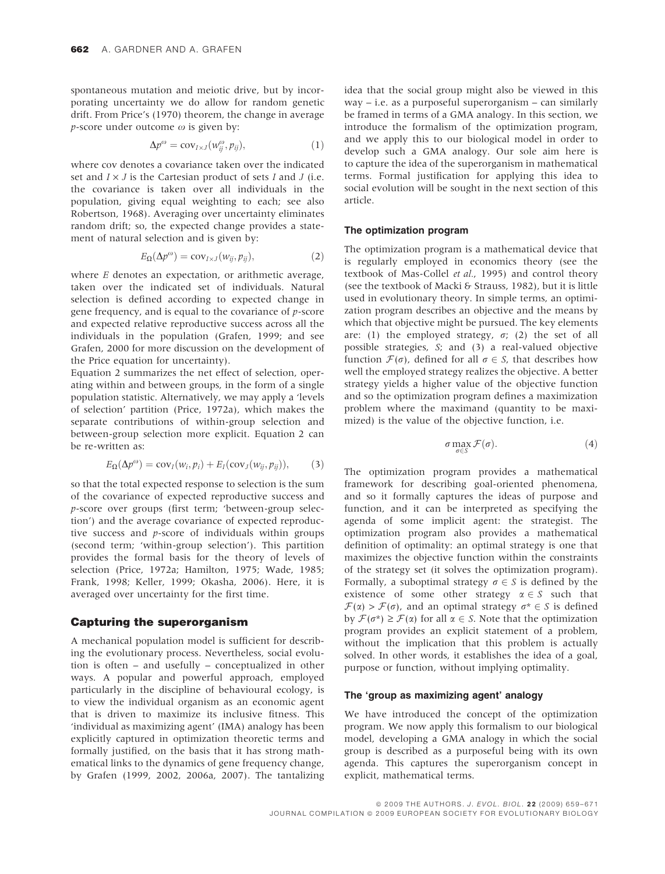spontaneous mutation and meiotic drive, but by incorporating uncertainty we do allow for random genetic drift. From Price's (1970) theorem, the change in average *p*-score under outcome  $\omega$  is given by:

$$
\Delta p^{\omega} = \text{cov}_{I \times J}(w_{ij}^{\omega}, p_{ij}), \qquad (1)
$$

where cov denotes a covariance taken over the indicated set and  $I \times J$  is the Cartesian product of sets I and J (i.e. the covariance is taken over all individuals in the population, giving equal weighting to each; see also Robertson, 1968). Averaging over uncertainty eliminates random drift; so, the expected change provides a statement of natural selection and is given by:

$$
E_{\Omega}(\Delta p^{\omega}) = \text{cov}_{I \times J}(w_{ij}, p_{ij}), \qquad (2)
$$

where  $E$  denotes an expectation, or arithmetic average, taken over the indicated set of individuals. Natural selection is defined according to expected change in gene frequency, and is equal to the covariance of  $p$ -score and expected relative reproductive success across all the individuals in the population (Grafen, 1999; and see Grafen, 2000 for more discussion on the development of the Price equation for uncertainty).

Equation 2 summarizes the net effect of selection, operating within and between groups, in the form of a single population statistic. Alternatively, we may apply a 'levels of selection' partition (Price, 1972a), which makes the separate contributions of within-group selection and between-group selection more explicit. Equation 2 can be re-written as:

$$
E_{\Omega}(\Delta p^{\omega}) = \text{cov}_I(w_i, p_i) + E_I(\text{cov}_J(w_{ij}, p_{ij})),
$$
 (3)

so that the total expected response to selection is the sum of the covariance of expected reproductive success and p-score over groups (first term; 'between-group selection') and the average covariance of expected reproductive success and p-score of individuals within groups (second term; 'within-group selection'). This partition provides the formal basis for the theory of levels of selection (Price, 1972a; Hamilton, 1975; Wade, 1985; Frank, 1998; Keller, 1999; Okasha, 2006). Here, it is averaged over uncertainty for the first time.

### Capturing the superorganism

A mechanical population model is sufficient for describing the evolutionary process. Nevertheless, social evolution is often – and usefully – conceptualized in other ways. A popular and powerful approach, employed particularly in the discipline of behavioural ecology, is to view the individual organism as an economic agent that is driven to maximize its inclusive fitness. This 'individual as maximizing agent' (IMA) analogy has been explicitly captured in optimization theoretic terms and formally justified, on the basis that it has strong mathematical links to the dynamics of gene frequency change. by Grafen (1999, 2002, 2006a, 2007). The tantalizing idea that the social group might also be viewed in this way – i.e. as a purposeful superorganism – can similarly be framed in terms of a GMA analogy. In this section, we introduce the formalism of the optimization program, and we apply this to our biological model in order to develop such a GMA analogy. Our sole aim here is to capture the idea of the superorganism in mathematical terms. Formal justification for applying this idea to social evolution will be sought in the next section of this article.

### The optimization program

The optimization program is a mathematical device that is regularly employed in economics theory (see the textbook of Mas-Collel et al., 1995) and control theory (see the textbook of Macki & Strauss, 1982), but it is little used in evolutionary theory. In simple terms, an optimization program describes an objective and the means by which that objective might be pursued. The key elements are: (1) the employed strategy,  $\sigma$ ; (2) the set of all possible strategies, S; and (3) a real-valued objective function  $\mathcal{F}(\sigma)$ , defined for all  $\sigma \in S$ , that describes how well the employed strategy realizes the objective. A better strategy yields a higher value of the objective function and so the optimization program defines a maximization problem where the maximand (quantity to be maximized) is the value of the objective function, i.e.

$$
\sigma \max_{\sigma \in S} \mathcal{F}(\sigma). \tag{4}
$$

The optimization program provides a mathematical framework for describing goal-oriented phenomena, and so it formally captures the ideas of purpose and function, and it can be interpreted as specifying the agenda of some implicit agent: the strategist. The optimization program also provides a mathematical definition of optimality: an optimal strategy is one that maximizes the objective function within the constraints of the strategy set (it solves the optimization program). Formally, a suboptimal strategy  $\sigma \in S$  is defined by the existence of some other strategy  $\alpha \in S$  such that  $\mathcal{F}(\alpha) > \mathcal{F}(\sigma)$ , and an optimal strategy  $\sigma^* \in S$  is defined by  $\mathcal{F}(\sigma^*) \geq \mathcal{F}(\alpha)$  for all  $\alpha \in S$ . Note that the optimization program provides an explicit statement of a problem, without the implication that this problem is actually solved. In other words, it establishes the idea of a goal, purpose or function, without implying optimality.

#### The 'group as maximizing agent' analogy

We have introduced the concept of the optimization program. We now apply this formalism to our biological model, developing a GMA analogy in which the social group is described as a purposeful being with its own agenda. This captures the superorganism concept in explicit, mathematical terms.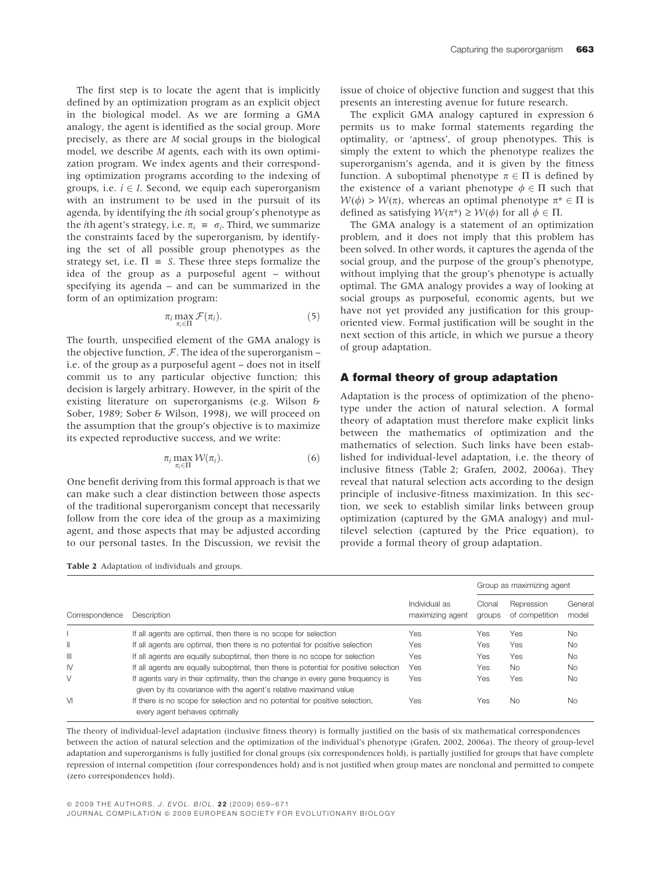The first step is to locate the agent that is implicitly defined by an optimization program as an explicit object in the biological model. As we are forming a GMA analogy, the agent is identified as the social group. More precisely, as there are M social groups in the biological model, we describe M agents, each with its own optimization program. We index agents and their corresponding optimization programs according to the indexing of groups, i.e.  $i \in I$ . Second, we equip each superorganism with an instrument to be used in the pursuit of its agenda, by identifying the ith social group's phenotype as the *i*th agent's strategy, i.e.  $\pi_i \equiv \sigma_i$ . Third, we summarize the constraints faced by the superorganism, by identifying the set of all possible group phenotypes as the strategy set, i.e.  $\Pi = S$ . These three steps formalize the idea of the group as a purposeful agent – without specifying its agenda – and can be summarized in the form of an optimization program:

$$
\pi_i \max_{\pi_i \in \Pi} \mathcal{F}(\pi_i). \tag{5}
$$

The fourth, unspecified element of the GMA analogy is the objective function,  $\mathcal F$ . The idea of the superorganism – i.e. of the group as a purposeful agent – does not in itself commit us to any particular objective function; this decision is largely arbitrary. However, in the spirit of the existing literature on superorganisms (e.g. Wilson & Sober, 1989; Sober & Wilson, 1998), we will proceed on the assumption that the group's objective is to maximize its expected reproductive success, and we write:

$$
\pi_i \max_{\pi_i \in \Pi} \mathcal{W}(\pi_i). \tag{6}
$$

One benefit deriving from this formal approach is that we can make such a clear distinction between those aspects of the traditional superorganism concept that necessarily follow from the core idea of the group as a maximizing agent, and those aspects that may be adjusted according to our personal tastes. In the Discussion, we revisit the

Table 2 Adaptation of individuals and groups.

issue of choice of objective function and suggest that this presents an interesting avenue for future research.

The explicit GMA analogy captured in expression 6 permits us to make formal statements regarding the optimality, or 'aptness', of group phenotypes. This is simply the extent to which the phenotype realizes the superorganism's agenda, and it is given by the fitness function. A suboptimal phenotype  $\pi \in \Pi$  is defined by the existence of a variant phenotype  $\phi \in \Pi$  such that  $W(\phi) > W(\pi)$ , whereas an optimal phenotype  $\pi^* \in \Pi$  is defined as satisfying  $W(\pi^*) \ge W(\phi)$  for all  $\phi \in \Pi$ .

The GMA analogy is a statement of an optimization problem, and it does not imply that this problem has been solved. In other words, it captures the agenda of the social group, and the purpose of the group's phenotype, without implying that the group's phenotype is actually optimal. The GMA analogy provides a way of looking at social groups as purposeful, economic agents, but we have not yet provided any justification for this grouporiented view. Formal justification will be sought in the next section of this article, in which we pursue a theory of group adaptation.

# A formal theory of group adaptation

Adaptation is the process of optimization of the phenotype under the action of natural selection. A formal theory of adaptation must therefore make explicit links between the mathematics of optimization and the mathematics of selection. Such links have been established for individual-level adaptation, i.e. the theory of inclusive fitness (Table 2; Grafen, 2002, 2006a). They reveal that natural selection acts according to the design principle of inclusive-fitness maximization. In this section, we seek to establish similar links between group optimization (captured by the GMA analogy) and multilevel selection (captured by the Price equation), to provide a formal theory of group adaptation.

|                |                                                                                                                                                    |                                   | Group as maximizing agent |                              |                  |
|----------------|----------------------------------------------------------------------------------------------------------------------------------------------------|-----------------------------------|---------------------------|------------------------------|------------------|
| Correspondence | Description                                                                                                                                        | Individual as<br>maximizing agent | Clonal<br>groups          | Repression<br>of competition | General<br>model |
|                | If all agents are optimal, then there is no scope for selection                                                                                    | Yes                               | <b>Yes</b>                | Yes                          | <b>No</b>        |
| Ш              | If all agents are optimal, then there is no potential for positive selection                                                                       | Yes                               | Yes                       | Yes                          | <b>No</b>        |
| Ш              | If all agents are equally suboptimal, then there is no scope for selection                                                                         | Yes                               | Yes                       | Yes                          | <b>No</b>        |
| IV             | If all agents are equally suboptimal, then there is potential for positive selection                                                               | <b>Yes</b>                        | Yes                       | <b>No</b>                    | <b>No</b>        |
| V              | If agents vary in their optimality, then the change in every gene frequency is<br>given by its covariance with the agent's relative maximand value | Yes                               | Yes                       | Yes                          | <b>No</b>        |
| $\vee$         | If there is no scope for selection and no potential for positive selection,<br>every agent behaves optimally                                       | Yes                               | Yes                       | <b>No</b>                    | No.              |

The theory of individual-level adaptation (inclusive fitness theory) is formally justified on the basis of six mathematical correspondences between the action of natural selection and the optimization of the individual's phenotype (Grafen, 2002, 2006a). The theory of group-level adaptation and superorganisms is fully justified for clonal groups (six correspondences hold), is partially justified for groups that have complete repression of internal competition (four correspondences hold) and is not justified when group mates are nonclonal and permitted to compete (zero correspondences hold).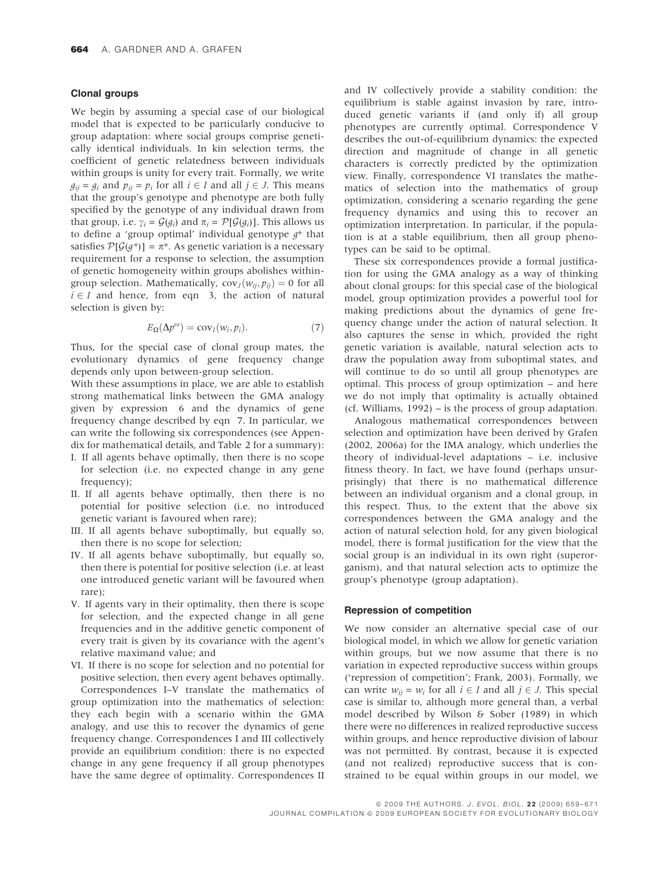#### Clonal groups

We begin by assuming a special case of our biological model that is expected to be particularly conducive to group adaptation: where social groups comprise genetically identical individuals. In kin selection terms, the coefficient of genetic relatedness between individuals within groups is unity for every trait. Formally, we write  $g_{ij} = g_i$  and  $p_{ij} = p_i$  for all  $i \in I$  and all  $j \in J$ . This means that the group's genotype and phenotype are both fully specified by the genotype of any individual drawn from that group, i.e.  $\gamma_i = \mathcal{G}(g_i)$  and  $\pi_i = \mathcal{P}[\mathcal{G}(g_i)]$ . This allows us to define a 'group optimal' individual genotype  $g^*$  that satisfies  $\mathcal{P}[\mathcal{G}(g^*)] = \pi^*$ . As genetic variation is a necessary requirement for a response to selection, the assumption of genetic homogeneity within groups abolishes withingroup selection. Mathematically,  $cov_J(w_{ii}, p_{ii}) = 0$  for all  $i \in I$  and hence, from eqn 3, the action of natural selection is given by:

$$
E_{\Omega}(\Delta p^{\omega}) = \text{cov}_I(w_i, p_i). \tag{7}
$$

Thus, for the special case of clonal group mates, the evolutionary dynamics of gene frequency change depends only upon between-group selection.

With these assumptions in place, we are able to establish strong mathematical links between the GMA analogy given by expression 6 and the dynamics of gene frequency change described by eqn 7. In particular, we can write the following six correspondences (see Appendix for mathematical details, and Table 2 for a summary):

- I. If all agents behave optimally, then there is no scope for selection (i.e. no expected change in any gene frequency);
- II. If all agents behave optimally, then there is no potential for positive selection (i.e. no introduced genetic variant is favoured when rare);
- III. If all agents behave suboptimally, but equally so, then there is no scope for selection;
- IV. If all agents behave suboptimally, but equally so, then there is potential for positive selection (i.e. at least one introduced genetic variant will be favoured when rare);
- V. If agents vary in their optimality, then there is scope for selection, and the expected change in all gene frequencies and in the additive genetic component of every trait is given by its covariance with the agent's relative maximand value; and
- VI. If there is no scope for selection and no potential for positive selection, then every agent behaves optimally. Correspondences I–V translate the mathematics of group optimization into the mathematics of selection: they each begin with a scenario within the GMA analogy, and use this to recover the dynamics of gene frequency change. Correspondences I and III collectively provide an equilibrium condition: there is no expected change in any gene frequency if all group phenotypes have the same degree of optimality. Correspondences II

and IV collectively provide a stability condition: the equilibrium is stable against invasion by rare, introduced genetic variants if (and only if) all group phenotypes are currently optimal. Correspondence V describes the out-of-equilibrium dynamics: the expected direction and magnitude of change in all genetic characters is correctly predicted by the optimization view. Finally, correspondence VI translates the mathematics of selection into the mathematics of group optimization, considering a scenario regarding the gene frequency dynamics and using this to recover an optimization interpretation. In particular, if the population is at a stable equilibrium, then all group phenotypes can be said to be optimal.

These six correspondences provide a formal justification for using the GMA analogy as a way of thinking about clonal groups: for this special case of the biological model, group optimization provides a powerful tool for making predictions about the dynamics of gene frequency change under the action of natural selection. It also captures the sense in which, provided the right genetic variation is available, natural selection acts to draw the population away from suboptimal states, and will continue to do so until all group phenotypes are optimal. This process of group optimization – and here we do not imply that optimality is actually obtained (cf. Williams, 1992) – is the process of group adaptation.

Analogous mathematical correspondences between selection and optimization have been derived by Grafen (2002, 2006a) for the IMA analogy, which underlies the theory of individual-level adaptations – i.e. inclusive fitness theory. In fact, we have found (perhaps unsurprisingly) that there is no mathematical difference between an individual organism and a clonal group, in this respect. Thus, to the extent that the above six correspondences between the GMA analogy and the action of natural selection hold, for any given biological model, there is formal justification for the view that the social group is an individual in its own right (superorganism), and that natural selection acts to optimize the group's phenotype (group adaptation).

#### Repression of competition

We now consider an alternative special case of our biological model, in which we allow for genetic variation within groups, but we now assume that there is no variation in expected reproductive success within groups ('repression of competition'; Frank, 2003). Formally, we can write  $w_{ii} = w_i$  for all  $i \in I$  and all  $i \in J$ . This special case is similar to, although more general than, a verbal model described by Wilson & Sober (1989) in which there were no differences in realized reproductive success within groups, and hence reproductive division of labour was not permitted. By contrast, because it is expected (and not realized) reproductive success that is constrained to be equal within groups in our model, we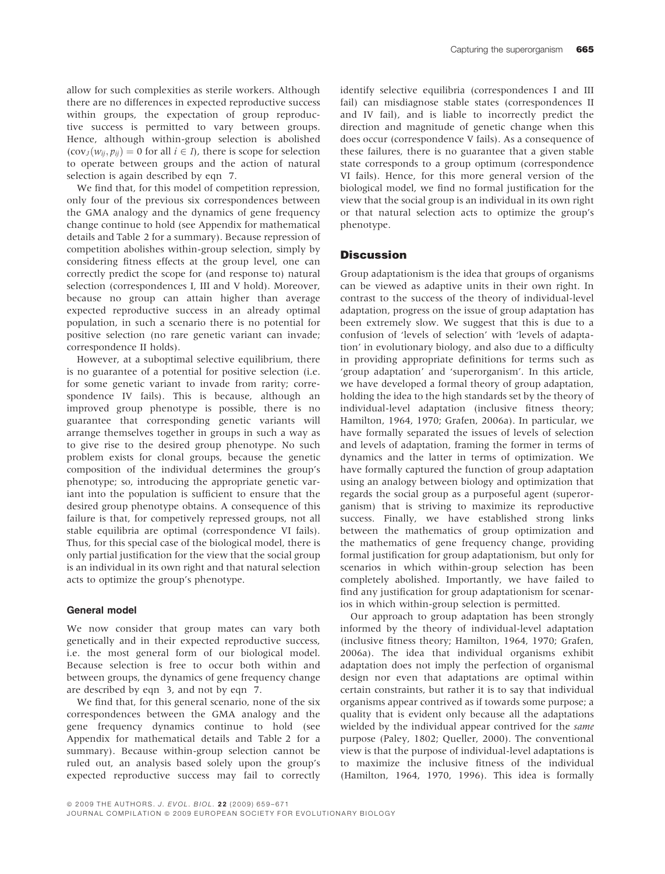allow for such complexities as sterile workers. Although there are no differences in expected reproductive success within groups, the expectation of group reproductive success is permitted to vary between groups. Hence, although within-group selection is abolished  $(\text{cov}_I(w_{ii}, p_{ii}) = 0$  for all  $i \in I$ ), there is scope for selection to operate between groups and the action of natural selection is again described by eqn 7.

We find that, for this model of competition repression, only four of the previous six correspondences between the GMA analogy and the dynamics of gene frequency change continue to hold (see Appendix for mathematical details and Table 2 for a summary). Because repression of competition abolishes within-group selection, simply by considering fitness effects at the group level, one can correctly predict the scope for (and response to) natural selection (correspondences I, III and V hold). Moreover, because no group can attain higher than average expected reproductive success in an already optimal population, in such a scenario there is no potential for positive selection (no rare genetic variant can invade; correspondence II holds).

However, at a suboptimal selective equilibrium, there is no guarantee of a potential for positive selection (i.e. for some genetic variant to invade from rarity; correspondence IV fails). This is because, although an improved group phenotype is possible, there is no guarantee that corresponding genetic variants will arrange themselves together in groups in such a way as to give rise to the desired group phenotype. No such problem exists for clonal groups, because the genetic composition of the individual determines the group's phenotype; so, introducing the appropriate genetic variant into the population is sufficient to ensure that the desired group phenotype obtains. A consequence of this failure is that, for competively repressed groups, not all stable equilibria are optimal (correspondence VI fails). Thus, for this special case of the biological model, there is only partial justification for the view that the social group is an individual in its own right and that natural selection acts to optimize the group's phenotype.

# General model

We now consider that group mates can vary both genetically and in their expected reproductive success, i.e. the most general form of our biological model. Because selection is free to occur both within and between groups, the dynamics of gene frequency change are described by eqn 3, and not by eqn 7.

We find that, for this general scenario, none of the six correspondences between the GMA analogy and the gene frequency dynamics continue to hold (see Appendix for mathematical details and Table 2 for a summary). Because within-group selection cannot be ruled out, an analysis based solely upon the group's expected reproductive success may fail to correctly identify selective equilibria (correspondences I and III fail) can misdiagnose stable states (correspondences II and IV fail), and is liable to incorrectly predict the direction and magnitude of genetic change when this does occur (correspondence V fails). As a consequence of these failures, there is no guarantee that a given stable state corresponds to a group optimum (correspondence VI fails). Hence, for this more general version of the biological model, we find no formal justification for the view that the social group is an individual in its own right or that natural selection acts to optimize the group's phenotype.

# **Discussion**

Group adaptationism is the idea that groups of organisms can be viewed as adaptive units in their own right. In contrast to the success of the theory of individual-level adaptation, progress on the issue of group adaptation has been extremely slow. We suggest that this is due to a confusion of 'levels of selection' with 'levels of adaptation' in evolutionary biology, and also due to a difficulty in providing appropriate definitions for terms such as 'group adaptation' and 'superorganism'. In this article, we have developed a formal theory of group adaptation, holding the idea to the high standards set by the theory of individual-level adaptation (inclusive fitness theory; Hamilton, 1964, 1970; Grafen, 2006a). In particular, we have formally separated the issues of levels of selection and levels of adaptation, framing the former in terms of dynamics and the latter in terms of optimization. We have formally captured the function of group adaptation using an analogy between biology and optimization that regards the social group as a purposeful agent (superorganism) that is striving to maximize its reproductive success. Finally, we have established strong links between the mathematics of group optimization and the mathematics of gene frequency change, providing formal justification for group adaptationism, but only for scenarios in which within-group selection has been completely abolished. Importantly, we have failed to find any justification for group adaptationism for scenarios in which within-group selection is permitted.

Our approach to group adaptation has been strongly informed by the theory of individual-level adaptation (inclusive fitness theory; Hamilton, 1964, 1970; Grafen, 2006a). The idea that individual organisms exhibit adaptation does not imply the perfection of organismal design nor even that adaptations are optimal within certain constraints, but rather it is to say that individual organisms appear contrived as if towards some purpose; a quality that is evident only because all the adaptations wielded by the individual appear contrived for the same purpose (Paley, 1802; Queller, 2000). The conventional view is that the purpose of individual-level adaptations is to maximize the inclusive fitness of the individual (Hamilton, 1964, 1970, 1996). This idea is formally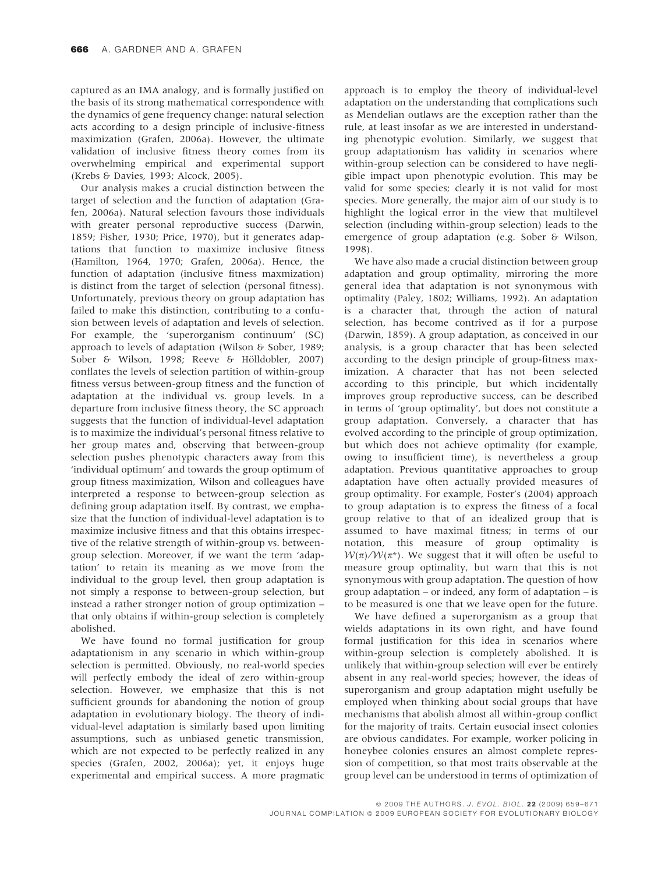captured as an IMA analogy, and is formally justified on the basis of its strong mathematical correspondence with the dynamics of gene frequency change: natural selection acts according to a design principle of inclusive-fitness maximization (Grafen, 2006a). However, the ultimate validation of inclusive fitness theory comes from its overwhelming empirical and experimental support (Krebs & Davies, 1993; Alcock, 2005).

Our analysis makes a crucial distinction between the target of selection and the function of adaptation (Grafen, 2006a). Natural selection favours those individuals with greater personal reproductive success (Darwin, 1859; Fisher, 1930; Price, 1970), but it generates adaptations that function to maximize inclusive fitness (Hamilton, 1964, 1970; Grafen, 2006a). Hence, the function of adaptation (inclusive fitness maxmization) is distinct from the target of selection (personal fitness). Unfortunately, previous theory on group adaptation has failed to make this distinction, contributing to a confusion between levels of adaptation and levels of selection. For example, the 'superorganism continuum' (SC) approach to levels of adaptation (Wilson & Sober, 1989; Sober & Wilson, 1998; Reeve & Hölldobler, 2007) conflates the levels of selection partition of within-group fitness versus between-group fitness and the function of adaptation at the individual vs. group levels. In a departure from inclusive fitness theory, the SC approach suggests that the function of individual-level adaptation is to maximize the individual's personal fitness relative to her group mates and, observing that between-group selection pushes phenotypic characters away from this 'individual optimum' and towards the group optimum of group fitness maximization, Wilson and colleagues have interpreted a response to between-group selection as defining group adaptation itself. By contrast, we emphasize that the function of individual-level adaptation is to maximize inclusive fitness and that this obtains irrespective of the relative strength of within-group vs. betweengroup selection. Moreover, if we want the term 'adaptation' to retain its meaning as we move from the individual to the group level, then group adaptation is not simply a response to between-group selection, but instead a rather stronger notion of group optimization – that only obtains if within-group selection is completely abolished.

We have found no formal justification for group adaptationism in any scenario in which within-group selection is permitted. Obviously, no real-world species will perfectly embody the ideal of zero within-group selection. However, we emphasize that this is not sufficient grounds for abandoning the notion of group adaptation in evolutionary biology. The theory of individual-level adaptation is similarly based upon limiting assumptions, such as unbiased genetic transmission, which are not expected to be perfectly realized in any species (Grafen, 2002, 2006a); yet, it enjoys huge experimental and empirical success. A more pragmatic approach is to employ the theory of individual-level adaptation on the understanding that complications such as Mendelian outlaws are the exception rather than the rule, at least insofar as we are interested in understanding phenotypic evolution. Similarly, we suggest that group adaptationism has validity in scenarios where within-group selection can be considered to have negligible impact upon phenotypic evolution. This may be valid for some species; clearly it is not valid for most species. More generally, the major aim of our study is to highlight the logical error in the view that multilevel selection (including within-group selection) leads to the emergence of group adaptation (e.g. Sober & Wilson, 1998).

We have also made a crucial distinction between group adaptation and group optimality, mirroring the more general idea that adaptation is not synonymous with optimality (Paley, 1802; Williams, 1992). An adaptation is a character that, through the action of natural selection, has become contrived as if for a purpose (Darwin, 1859). A group adaptation, as conceived in our analysis, is a group character that has been selected according to the design principle of group-fitness maximization. A character that has not been selected according to this principle, but which incidentally improves group reproductive success, can be described in terms of 'group optimality', but does not constitute a group adaptation. Conversely, a character that has evolved according to the principle of group optimization, but which does not achieve optimality (for example, owing to insufficient time), is nevertheless a group adaptation. Previous quantitative approaches to group adaptation have often actually provided measures of group optimality. For example, Foster's (2004) approach to group adaptation is to express the fitness of a focal group relative to that of an idealized group that is assumed to have maximal fitness; in terms of our notation, this measure of group optimality is  $W(\pi)/W(\pi^*)$ . We suggest that it will often be useful to measure group optimality, but warn that this is not synonymous with group adaptation. The question of how group adaptation – or indeed, any form of adaptation – is to be measured is one that we leave open for the future.

We have defined a superorganism as a group that wields adaptations in its own right, and have found formal justification for this idea in scenarios where within-group selection is completely abolished. It is unlikely that within-group selection will ever be entirely absent in any real-world species; however, the ideas of superorganism and group adaptation might usefully be employed when thinking about social groups that have mechanisms that abolish almost all within-group conflict for the majority of traits. Certain eusocial insect colonies are obvious candidates. For example, worker policing in honeybee colonies ensures an almost complete repression of competition, so that most traits observable at the group level can be understood in terms of optimization of

© 2009 THE AUTHORS. J. EVOL. BIOL. 22 (2009) 659-671 JOURNAL COMPILATION © 2009 EUROPEAN SOCIETY FOR EVOLUTIONARY BIOLOGY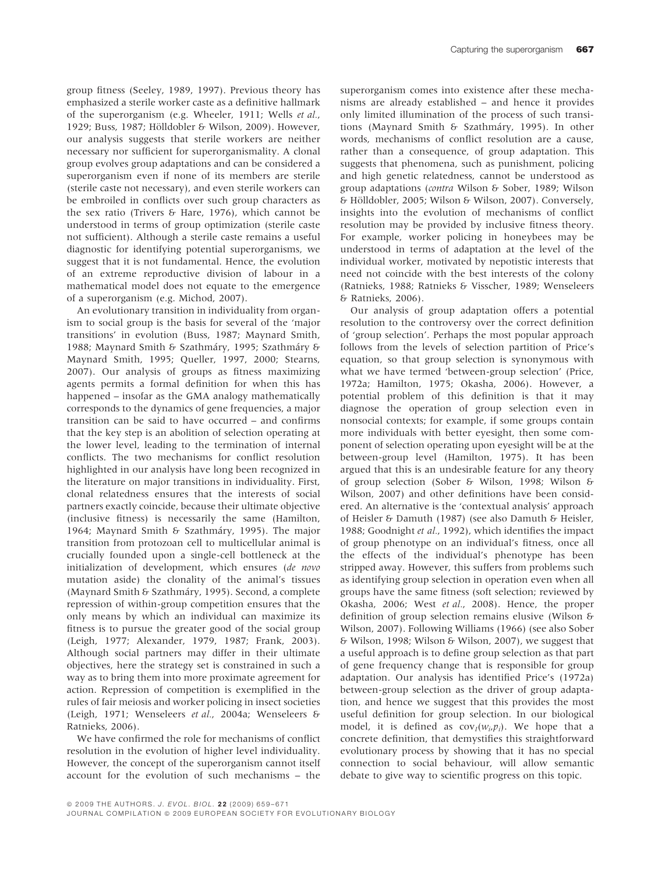group fitness (Seeley, 1989, 1997). Previous theory has emphasized a sterile worker caste as a definitive hallmark of the superorganism (e.g. Wheeler, 1911; Wells et al., 1929; Buss, 1987; Hölldobler & Wilson, 2009). However, our analysis suggests that sterile workers are neither necessary nor sufficient for superorganismality. A clonal group evolves group adaptations and can be considered a superorganism even if none of its members are sterile (sterile caste not necessary), and even sterile workers can be embroiled in conflicts over such group characters as the sex ratio (Trivers & Hare, 1976), which cannot be understood in terms of group optimization (sterile caste not sufficient). Although a sterile caste remains a useful diagnostic for identifying potential superorganisms, we suggest that it is not fundamental. Hence, the evolution of an extreme reproductive division of labour in a mathematical model does not equate to the emergence of a superorganism (e.g. Michod, 2007).

An evolutionary transition in individuality from organism to social group is the basis for several of the 'major transitions' in evolution (Buss, 1987; Maynard Smith, 1988; Maynard Smith & Szathmáry, 1995; Szathmáry & Maynard Smith, 1995; Queller, 1997, 2000; Stearns, 2007). Our analysis of groups as fitness maximizing agents permits a formal definition for when this has happened – insofar as the GMA analogy mathematically corresponds to the dynamics of gene frequencies, a major transition can be said to have occurred – and confirms that the key step is an abolition of selection operating at the lower level, leading to the termination of internal conflicts. The two mechanisms for conflict resolution highlighted in our analysis have long been recognized in the literature on major transitions in individuality. First, clonal relatedness ensures that the interests of social partners exactly coincide, because their ultimate objective (inclusive fitness) is necessarily the same (Hamilton, 1964; Maynard Smith & Szathmáry, 1995). The major transition from protozoan cell to multicellular animal is crucially founded upon a single-cell bottleneck at the initialization of development, which ensures (de novo mutation aside) the clonality of the animal's tissues (Maynard Smith & Szathma´ry, 1995). Second, a complete repression of within-group competition ensures that the only means by which an individual can maximize its fitness is to pursue the greater good of the social group (Leigh, 1977; Alexander, 1979, 1987; Frank, 2003). Although social partners may differ in their ultimate objectives, here the strategy set is constrained in such a way as to bring them into more proximate agreement for action. Repression of competition is exemplified in the rules of fair meiosis and worker policing in insect societies (Leigh, 1971; Wenseleers et al., 2004a; Wenseleers & Ratnieks, 2006).

We have confirmed the role for mechanisms of conflict resolution in the evolution of higher level individuality. However, the concept of the superorganism cannot itself account for the evolution of such mechanisms – the superorganism comes into existence after these mechanisms are already established – and hence it provides only limited illumination of the process of such transitions (Maynard Smith & Szathmáry, 1995). In other words, mechanisms of conflict resolution are a cause, rather than a consequence, of group adaptation. This suggests that phenomena, such as punishment, policing and high genetic relatedness, cannot be understood as group adaptations (contra Wilson & Sober, 1989; Wilson & Ho¨lldobler, 2005; Wilson & Wilson, 2007). Conversely, insights into the evolution of mechanisms of conflict resolution may be provided by inclusive fitness theory. For example, worker policing in honeybees may be understood in terms of adaptation at the level of the individual worker, motivated by nepotistic interests that need not coincide with the best interests of the colony (Ratnieks, 1988; Ratnieks & Visscher, 1989; Wenseleers & Ratnieks, 2006).

Our analysis of group adaptation offers a potential resolution to the controversy over the correct definition of 'group selection'. Perhaps the most popular approach follows from the levels of selection partition of Price's equation, so that group selection is synonymous with what we have termed 'between-group selection' (Price, 1972a; Hamilton, 1975; Okasha, 2006). However, a potential problem of this definition is that it may diagnose the operation of group selection even in nonsocial contexts; for example, if some groups contain more individuals with better eyesight, then some component of selection operating upon eyesight will be at the between-group level (Hamilton, 1975). It has been argued that this is an undesirable feature for any theory of group selection (Sober & Wilson, 1998; Wilson & Wilson, 2007) and other definitions have been considered. An alternative is the 'contextual analysis' approach of Heisler & Damuth (1987) (see also Damuth & Heisler, 1988; Goodnight et al., 1992), which identifies the impact of group phenotype on an individual's fitness, once all the effects of the individual's phenotype has been stripped away. However, this suffers from problems such as identifying group selection in operation even when all groups have the same fitness (soft selection; reviewed by Okasha, 2006; West et al., 2008). Hence, the proper definition of group selection remains elusive (Wilson & Wilson, 2007). Following Williams (1966) (see also Sober & Wilson, 1998; Wilson & Wilson, 2007), we suggest that a useful approach is to define group selection as that part of gene frequency change that is responsible for group adaptation. Our analysis has identified Price's (1972a) between-group selection as the driver of group adaptation, and hence we suggest that this provides the most useful definition for group selection. In our biological model, it is defined as  $cov_I(w_i, p_i)$ . We hope that a concrete definition, that demystifies this straightforward evolutionary process by showing that it has no special connection to social behaviour, will allow semantic debate to give way to scientific progress on this topic.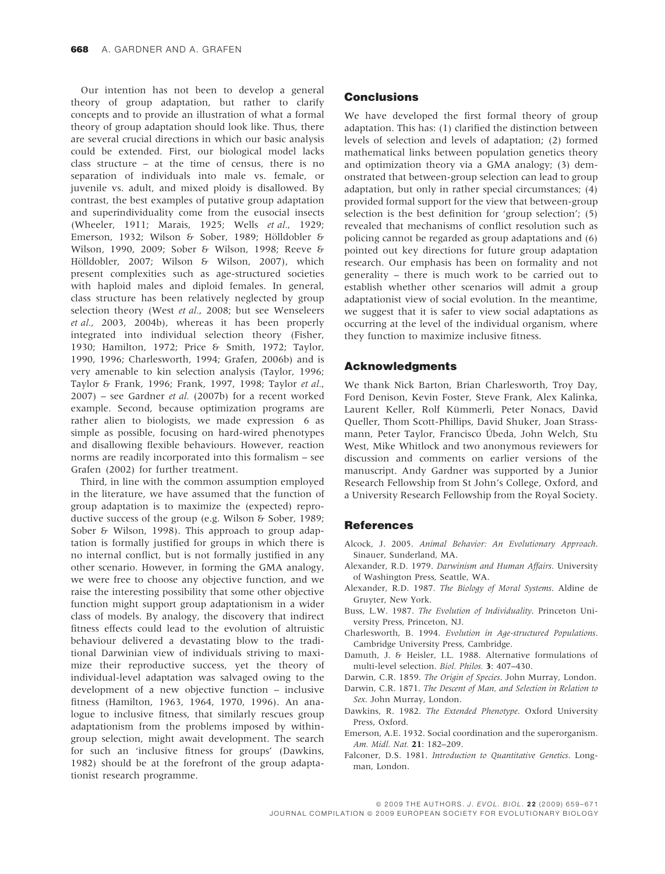Our intention has not been to develop a general theory of group adaptation, but rather to clarify concepts and to provide an illustration of what a formal theory of group adaptation should look like. Thus, there are several crucial directions in which our basic analysis could be extended. First, our biological model lacks class structure – at the time of census, there is no separation of individuals into male vs. female, or juvenile vs. adult, and mixed ploidy is disallowed. By contrast, the best examples of putative group adaptation and superindividuality come from the eusocial insects (Wheeler, 1911; Marais, 1925; Wells et al., 1929; Emerson, 1932; Wilson & Sober, 1989; Hölldobler & Wilson, 1990, 2009; Sober & Wilson, 1998; Reeve & Hölldobler, 2007; Wilson & Wilson, 2007), which present complexities such as age-structured societies with haploid males and diploid females. In general, class structure has been relatively neglected by group selection theory (West et al., 2008; but see Wenseleers et al., 2003, 2004b), whereas it has been properly integrated into individual selection theory (Fisher, 1930; Hamilton, 1972; Price & Smith, 1972; Taylor, 1990, 1996; Charlesworth, 1994; Grafen, 2006b) and is very amenable to kin selection analysis (Taylor, 1996; Taylor & Frank, 1996; Frank, 1997, 1998; Taylor et al., 2007) – see Gardner et al. (2007b) for a recent worked example. Second, because optimization programs are rather alien to biologists, we made expression 6 as simple as possible, focusing on hard-wired phenotypes and disallowing flexible behaviours. However, reaction norms are readily incorporated into this formalism – see Grafen (2002) for further treatment.

Third, in line with the common assumption employed in the literature, we have assumed that the function of group adaptation is to maximize the (expected) reproductive success of the group (e.g. Wilson & Sober, 1989; Sober & Wilson, 1998). This approach to group adaptation is formally justified for groups in which there is no internal conflict, but is not formally justified in any other scenario. However, in forming the GMA analogy, we were free to choose any objective function, and we raise the interesting possibility that some other objective function might support group adaptationism in a wider class of models. By analogy, the discovery that indirect fitness effects could lead to the evolution of altruistic behaviour delivered a devastating blow to the traditional Darwinian view of individuals striving to maximize their reproductive success, yet the theory of individual-level adaptation was salvaged owing to the development of a new objective function – inclusive fitness (Hamilton, 1963, 1964, 1970, 1996). An analogue to inclusive fitness, that similarly rescues group adaptationism from the problems imposed by withingroup selection, might await development. The search for such an 'inclusive fitness for groups' (Dawkins, 1982) should be at the forefront of the group adaptationist research programme.

### **Conclusions**

We have developed the first formal theory of group adaptation. This has: (1) clarified the distinction between levels of selection and levels of adaptation; (2) formed mathematical links between population genetics theory and optimization theory via a GMA analogy; (3) demonstrated that between-group selection can lead to group adaptation, but only in rather special circumstances; (4) provided formal support for the view that between-group selection is the best definition for 'group selection'; (5) revealed that mechanisms of conflict resolution such as policing cannot be regarded as group adaptations and (6) pointed out key directions for future group adaptation research. Our emphasis has been on formality and not generality – there is much work to be carried out to establish whether other scenarios will admit a group adaptationist view of social evolution. In the meantime, we suggest that it is safer to view social adaptations as occurring at the level of the individual organism, where they function to maximize inclusive fitness.

#### Acknowledgments

We thank Nick Barton, Brian Charlesworth, Troy Day, Ford Denison, Kevin Foster, Steve Frank, Alex Kalinka, Laurent Keller, Rolf Kümmerli, Peter Nonacs, David Queller, Thom Scott-Phillips, David Shuker, Joan Strassmann, Peter Taylor, Francisco Úbeda, John Welch, Stu West, Mike Whitlock and two anonymous reviewers for discussion and comments on earlier versions of the manuscript. Andy Gardner was supported by a Junior Research Fellowship from St John's College, Oxford, and a University Research Fellowship from the Royal Society.

# **References**

- Alcock, J. 2005. Animal Behavior: An Evolutionary Approach. Sinauer, Sunderland, MA.
- Alexander, R.D. 1979. Darwinism and Human Affairs. University of Washington Press, Seattle, WA.
- Alexander, R.D. 1987. The Biology of Moral Systems. Aldine de Gruyter, New York.
- Buss, L.W. 1987. The Evolution of Individuality. Princeton University Press, Princeton, NJ.
- Charlesworth, B. 1994. Evolution in Age-structured Populations. Cambridge University Press, Cambridge.
- Damuth, J. & Heisler, I.L. 1988. Alternative formulations of multi-level selection. Biol. Philos. 3: 407–430.
- Darwin, C.R. 1859. The Origin of Species. John Murray, London.
- Darwin, C.R. 1871. The Descent of Man, and Selection in Relation to Sex. John Murray, London.
- Dawkins, R. 1982. The Extended Phenotype. Oxford University Press, Oxford.
- Emerson, A.E. 1932. Social coordination and the superorganism. Am. Midl. Nat. 21: 182–209.
- Falconer, D.S. 1981. Introduction to Quantitative Genetics. Longman, London.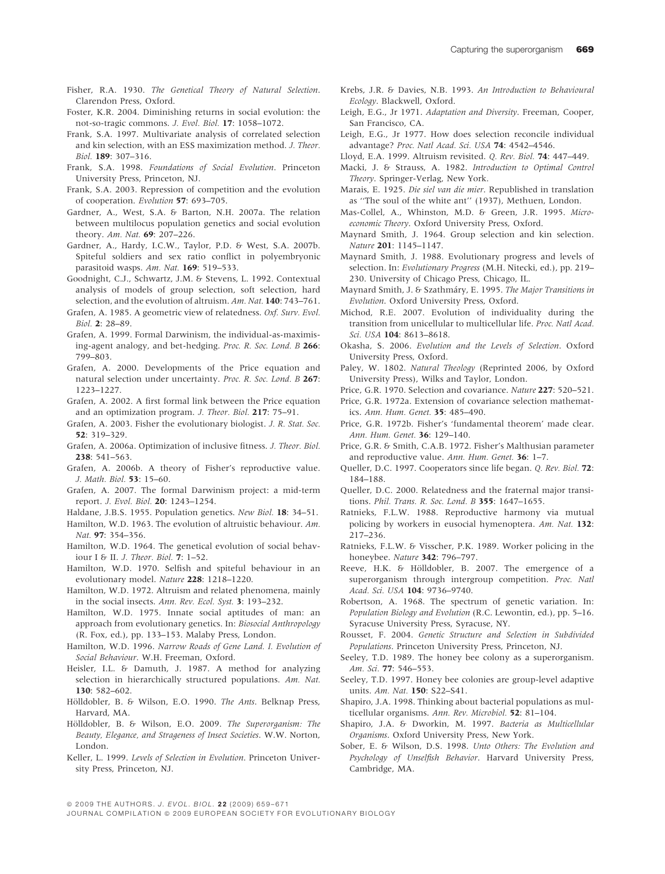- Fisher, R.A. 1930. The Genetical Theory of Natural Selection. Clarendon Press, Oxford.
- Foster, K.R. 2004. Diminishing returns in social evolution: the not-so-tragic commons. J. Evol. Biol. 17: 1058–1072.
- Frank, S.A. 1997. Multivariate analysis of correlated selection and kin selection, with an ESS maximization method. J. Theor. Biol. 189: 307–316.
- Frank, S.A. 1998. Foundations of Social Evolution. Princeton University Press, Princeton, NJ.
- Frank, S.A. 2003. Repression of competition and the evolution of cooperation. Evolution 57: 693–705.
- Gardner, A., West, S.A. & Barton, N.H. 2007a. The relation between multilocus population genetics and social evolution theory. Am. Nat. 69: 207–226.
- Gardner, A., Hardy, I.C.W., Taylor, P.D. & West, S.A. 2007b. Spiteful soldiers and sex ratio conflict in polyembryonic parasitoid wasps. Am. Nat. 169: 519-533.
- Goodnight, C.J., Schwartz, J.M. & Stevens, L. 1992. Contextual analysis of models of group selection, soft selection, hard selection, and the evolution of altruism. Am. Nat. 140: 743–761.
- Grafen, A. 1985. A geometric view of relatedness. Oxf. Surv. Evol. Biol. 2: 28–89.
- Grafen, A. 1999. Formal Darwinism, the individual-as-maximising-agent analogy, and bet-hedging. Proc. R. Soc. Lond. B 266: 799–803.
- Grafen, A. 2000. Developments of the Price equation and natural selection under uncertainty. Proc. R. Soc. Lond. B 267: 1223–1227.
- Grafen, A. 2002. A first formal link between the Price equation and an optimization program. J. Theor. Biol. 217: 75–91.
- Grafen, A. 2003. Fisher the evolutionary biologist. J. R. Stat. Soc.  $52 \cdot 319 - 329$
- Grafen, A. 2006a. Optimization of inclusive fitness. J. Theor. Biol. 238: 541–563.
- Grafen, A. 2006b. A theory of Fisher's reproductive value. J. Math. Biol. 53: 15–60.
- Grafen, A. 2007. The formal Darwinism project: a mid-term report. J. Evol. Biol. 20: 1243–1254.
- Haldane, J.B.S. 1955. Population genetics. New Biol. 18: 34–51.
- Hamilton, W.D. 1963. The evolution of altruistic behaviour. Am. Nat. 97: 354–356.
- Hamilton, W.D. 1964. The genetical evolution of social behaviour I & II. J. Theor. Biol. 7: 1–52.
- Hamilton, W.D. 1970. Selfish and spiteful behaviour in an evolutionary model. Nature 228: 1218–1220.
- Hamilton, W.D. 1972. Altruism and related phenomena, mainly in the social insects. Ann. Rev. Ecol. Syst. 3: 193–232.
- Hamilton, W.D. 1975. Innate social aptitudes of man: an approach from evolutionary genetics. In: Biosocial Anthropology (R. Fox, ed.), pp. 133–153. Malaby Press, London.
- Hamilton, W.D. 1996. Narrow Roads of Gene Land. I. Evolution of Social Behaviour. W.H. Freeman, Oxford.
- Heisler, I.L. & Damuth, J. 1987. A method for analyzing selection in hierarchically structured populations. Am. Nat. 130: 582–602.
- Hölldobler, B. & Wilson, E.O. 1990. The Ants. Belknap Press, Harvard, MA.
- Hölldobler, B. & Wilson, E.O. 2009. The Superorganism: The Beauty, Elegance, and Strageness of Insect Societies. W.W. Norton, London.
- Keller, L. 1999. Levels of Selection in Evolution. Princeton University Press, Princeton, NJ.
- Krebs, J.R. & Davies, N.B. 1993. An Introduction to Behavioural Ecology. Blackwell, Oxford.
- Leigh, E.G., Jr 1971. Adaptation and Diversity. Freeman, Cooper, San Francisco, CA.
- Leigh, E.G., Jr 1977. How does selection reconcile individual advantage? Proc. Natl Acad. Sci. USA 74: 4542–4546.
- Lloyd, E.A. 1999. Altruism revisited. Q. Rev. Biol. 74: 447–449.
- Macki, J. & Strauss, A. 1982. Introduction to Optimal Control Theory. Springer-Verlag, New York.
- Marais, E. 1925. Die siel van die mier. Republished in translation as ''The soul of the white ant'' (1937), Methuen, London.
- Mas-Collel, A., Whinston, M.D. & Green, J.R. 1995. Microeconomic Theory. Oxford University Press, Oxford.
- Maynard Smith, J. 1964. Group selection and kin selection. Nature 201: 1145–1147.
- Maynard Smith, J. 1988. Evolutionary progress and levels of selection. In: Evolutionary Progress (M.H. Nitecki, ed.), pp. 219-230. University of Chicago Press, Chicago, IL.
- Maynard Smith, J. & Szathmáry, E. 1995. The Major Transitions in Evolution. Oxford University Press, Oxford.
- Michod, R.E. 2007. Evolution of individuality during the transition from unicellular to multicellular life. Proc. Natl Acad. Sci. USA 104: 8613–8618.
- Okasha, S. 2006. Evolution and the Levels of Selection. Oxford University Press, Oxford.
- Paley, W. 1802. Natural Theology (Reprinted 2006, by Oxford University Press), Wilks and Taylor, London.
- Price, G.R. 1970. Selection and covariance. Nature 227: 520–521.
- Price, G.R. 1972a. Extension of covariance selection mathematics. Ann. Hum. Genet. 35: 485–490.
- Price, G.R. 1972b. Fisher's 'fundamental theorem' made clear. Ann. Hum. Genet. 36: 129–140.
- Price, G.R. & Smith, C.A.B. 1972. Fisher's Malthusian parameter and reproductive value. Ann. Hum. Genet. 36: 1-7.
- Queller, D.C. 1997. Cooperators since life began. Q. Rev. Biol. 72: 184–188.
- Queller, D.C. 2000. Relatedness and the fraternal major transitions. Phil. Trans. R. Soc. Lond. B 355: 1647–1655.
- Ratnieks, F.L.W. 1988. Reproductive harmony via mutual policing by workers in eusocial hymenoptera. Am. Nat. 132: 217–236.
- Ratnieks, F.L.W. & Visscher, P.K. 1989. Worker policing in the honeybee. Nature 342: 796–797.
- Reeve, H.K. & Hölldobler, B. 2007. The emergence of a superorganism through intergroup competition. Proc. Natl Acad. Sci. USA 104: 9736–9740.
- Robertson, A. 1968. The spectrum of genetic variation. In: Population Biology and Evolution (R.C. Lewontin, ed.), pp. 5–16. Syracuse University Press, Syracuse, NY.
- Rousset, F. 2004. Genetic Structure and Selection in Subdivided Populations. Princeton University Press, Princeton, NJ.
- Seeley, T.D. 1989. The honey bee colony as a superorganism. Am. Sci. 77: 546–553.
- Seeley, T.D. 1997. Honey bee colonies are group-level adaptive units. Am. Nat. 150: S22–S41.
- Shapiro, J.A. 1998. Thinking about bacterial populations as multicellular organisms. Ann. Rev. Microbiol. 52: 81-104.
- Shapiro, J.A. & Dworkin, M. 1997. Bacteria as Multicellular Organisms. Oxford University Press, New York.
- Sober, E. & Wilson, D.S. 1998. Unto Others: The Evolution and Psychology of Unselfish Behavior. Harvard University Press, Cambridge, MA.

<sup>© 2009</sup> THE AUTHORS. J. EVOL. BIOL. 22 (2009) 659-671

JOURNAL COMPILATION © 2009 EUROPEAN SOCIETY FOR EVOLUTIONARY BIOLOGY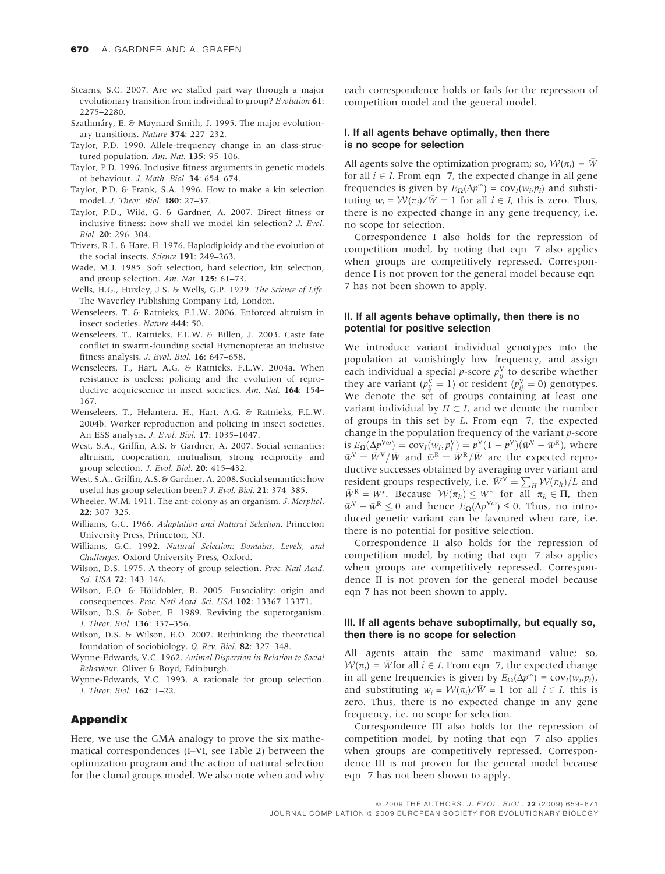- Stearns, S.C. 2007. Are we stalled part way through a major evolutionary transition from individual to group? Evolution 61: 2275–2280.
- Szathmáry, E. & Maynard Smith, J. 1995. The major evolutionary transitions. Nature 374: 227–232.
- Taylor, P.D. 1990. Allele-frequency change in an class-structured population. Am. Nat. 135: 95-106.
- Taylor, P.D. 1996. Inclusive fitness arguments in genetic models of behaviour. J. Math. Biol. 34: 654–674.
- Taylor, P.D. & Frank, S.A. 1996. How to make a kin selection model. J. Theor. Biol. 180: 27–37.
- Taylor, P.D., Wild, G. & Gardner, A. 2007. Direct fitness or inclusive fitness: how shall we model kin selection? J. Evol. Biol. 20: 296–304.
- Trivers, R.L. & Hare, H. 1976. Haplodiploidy and the evolution of the social insects. Science 191: 249-263.
- Wade, M.J. 1985. Soft selection, hard selection, kin selection, and group selection. Am. Nat. 125: 61–73.
- Wells, H.G., Huxley, J.S. & Wells, G.P. 1929. The Science of Life. The Waverley Publishing Company Ltd, London.
- Wenseleers, T. & Ratnieks, F.L.W. 2006. Enforced altruism in insect societies. Nature 444: 50.
- Wenseleers, T., Ratnieks, F.L.W. & Billen, J. 2003. Caste fate conflict in swarm-founding social Hymenoptera: an inclusive fitness analysis. J. Evol. Biol. 16: 647–658.
- Wenseleers, T., Hart, A.G. & Ratnieks, F.L.W. 2004a. When resistance is useless: policing and the evolution of reproductive acquiescence in insect societies. Am. Nat. 164: 154– 167.
- Wenseleers, T., Helantera, H., Hart, A.G. & Ratnieks, F.L.W. 2004b. Worker reproduction and policing in insect societies. An ESS analysis. J. Evol. Biol. 17: 1035–1047.
- West, S.A., Griffin, A.S. & Gardner, A. 2007. Social semantics: altruism, cooperation, mutualism, strong reciprocity and group selection. J. Evol. Biol. 20: 415–432.
- West, S.A., Griffin, A.S. & Gardner, A. 2008. Social semantics: how useful has group selection been? J. Evol. Biol. 21: 374–385.
- Wheeler, W.M. 1911. The ant-colony as an organism. J. Morphol.  $22 \cdot 307 - 325$
- Williams, G.C. 1966. Adaptation and Natural Selection. Princeton University Press, Princeton, NJ.
- Williams, G.C. 1992. Natural Selection: Domains, Levels, and Challenges. Oxford University Press, Oxford.
- Wilson, D.S. 1975. A theory of group selection. Proc. Natl Acad. Sci. USA 72: 143–146.
- Wilson, E.O. & Hölldobler, B. 2005. Eusociality: origin and consequences. Proc. Natl Acad. Sci. USA 102: 13367–13371.
- Wilson, D.S. & Sober, E. 1989. Reviving the superorganism. J. Theor. Biol. 136: 337–356.
- Wilson, D.S. & Wilson, E.O. 2007. Rethinking the theoretical foundation of sociobiology. Q. Rev. Biol. 82: 327–348.
- Wynne-Edwards, V.C. 1962. Animal Dispersion in Relation to Social Behaviour. Oliver & Boyd, Edinburgh.
- Wynne-Edwards, V.C. 1993. A rationale for group selection. J. Theor. Biol. 162: 1–22.

# Appendix

Here, we use the GMA analogy to prove the six mathematical correspondences (I–VI, see Table 2) between the optimization program and the action of natural selection for the clonal groups model. We also note when and why each correspondence holds or fails for the repression of competition model and the general model.

#### I. If all agents behave optimally, then there is no scope for selection

All agents solve the optimization program; so,  $W(\pi_i) = \overline{W}$ for all  $i \in I$ . From eqn 7, the expected change in all gene frequencies is given by  $E_{\Omega}(\Delta p^{\omega}) = \text{cov}_I(w_i, p_i)$  and substituting  $w_i = \mathcal{W}(\pi_i) / \bar{W} = 1$  for all  $i \in I$ , this is zero. Thus, there is no expected change in any gene frequency, i.e. no scope for selection.

Correspondence I also holds for the repression of competition model, by noting that eqn 7 also applies when groups are competitively repressed. Correspondence I is not proven for the general model because eqn 7 has not been shown to apply.

### II. If all agents behave optimally, then there is no potential for positive selection

We introduce variant individual genotypes into the population at vanishingly low frequency, and assign each individual a special *p*-score  $p_{ij}^V$  to describe whether they are variant ( $p_{ij}^V = 1$ ) or resident ( $p_{ij}^V = 0$ ) genotypes. We denote the set of groups containing at least one variant individual by  $H \subset I$ , and we denote the number of groups in this set by L. From eqn 7, the expected change in the population frequency of the variant  $p$ -score is  $E_{\Omega}(\Delta p^{\text{V}\omega}) = \text{cov}_I(w_i, p_i^{\text{V}}) = p^{\text{V}}(1 - p^{\text{V}})(\bar{w}^{\text{V}} - \bar{w}^{\text{R}})$ , where  $\bar{w}^V = \bar{W}^V / \bar{W}$  and  $\bar{w}^R = \bar{W}^R / \bar{W}$  are the expected reproductive successes obtained by averaging over variant and resident groups respectively, i.e.  $\overline{W}^V = \sum_H \mathcal{W}(\pi_h)/L$  and  $\overline{W}^{R} = W^{*}$ . Because  $W(\pi_h) \leq W^{*}$  for all  $\pi_h \in \Pi$ , then  $\bar{w}^V - \bar{w}^R \le 0$  and hence  $E_{\Omega}(\Delta p^{V\omega}) \le 0$ . Thus, no introduced genetic variant can be favoured when rare, i.e. there is no potential for positive selection.

Correspondence II also holds for the repression of competition model, by noting that eqn 7 also applies when groups are competitively repressed. Correspondence II is not proven for the general model because eqn 7 has not been shown to apply.

### III. If all agents behave suboptimally, but equally so, then there is no scope for selection

All agents attain the same maximand value; so,  $W(\pi_i) = \bar{W}$  for all  $i \in I$ . From eqn 7, the expected change in all gene frequencies is given by  $E_{\Omega}(\Delta p^{\omega}) = \text{cov}_I(w_i, p_i)$ , and substituting  $w_i = \mathcal{W}(\pi_i) / \bar{W} = 1$  for all  $i \in I$ , this is zero. Thus, there is no expected change in any gene frequency, i.e. no scope for selection.

Correspondence III also holds for the repression of competition model, by noting that eqn 7 also applies when groups are competitively repressed. Correspondence III is not proven for the general model because eqn 7 has not been shown to apply.